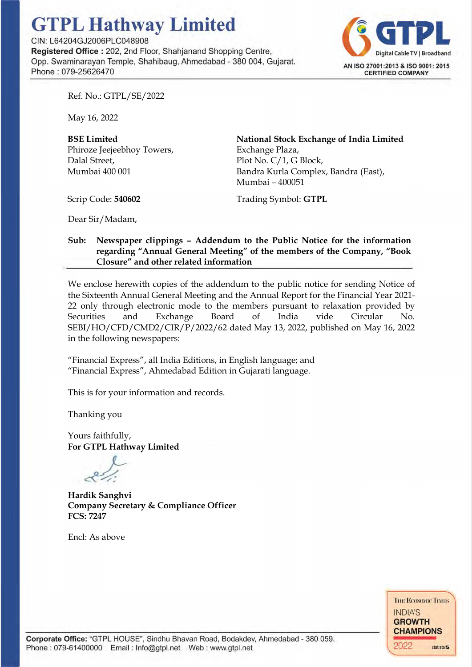## **GTPL Hathway Limited**

CIN : L64204GJ2006PLC048908

**Registered Office** : 202, 2nd Floor, Shahjanand Shopping Centre, Opp. Swaminarayan Temple, Shahibaug, Ahmedabad - 380 004, Gujarat. Phone : 079-256264 70



Ref. No.: GTPL/SE/2022

May 16, 2022

BSE Limited Phiroze Jeejeebhoy Towers, Dalal Street, Mumbai 400 001

National Stock Exchange of India Limited Exchange Plaza, Plot No. C/1, G Block, Bandra Kurla Complex, Bandra (East), Mumbai – 400051

Scrip Code: 540602

Trading Symbol: GTPL

Dear Sir/Madam,

## Sub: Newspaper clippings – Addendum to the Public Notice for the information regarding "Annual General Meeting" of the members of the Company, "Book Closure" and other related information

We enclose herewith copies of the addendum to the public notice for sending Notice of the Sixteenth Annual General Meeting and the Annual Report for the Financial Year 2021- 22 only through electronic mode to the members pursuant to relaxation provided by Securities and Exchange Board of India vide Circular No. SEBI/HO/CFD/CMD2/CIR/P/2022/62 dated May 13, 2022, published on May 16, 2022 in the following newspapers:

"Financial Express", all India Editions, in English language; and "Financial Express", Ahmedabad Edition in Gujarati language.

This is for your information and records.

Thanking you

Yours faithfully, For GTPL Hathway Limited

Hardik Sanghvi Company Secretary & Compliance Officer FCS: 7247

Encl: As above

**THE ECONOMIC TIMES** INDIA'S **GROWTH CHAMPIONS**   $2022$  statista $\overline{z}$